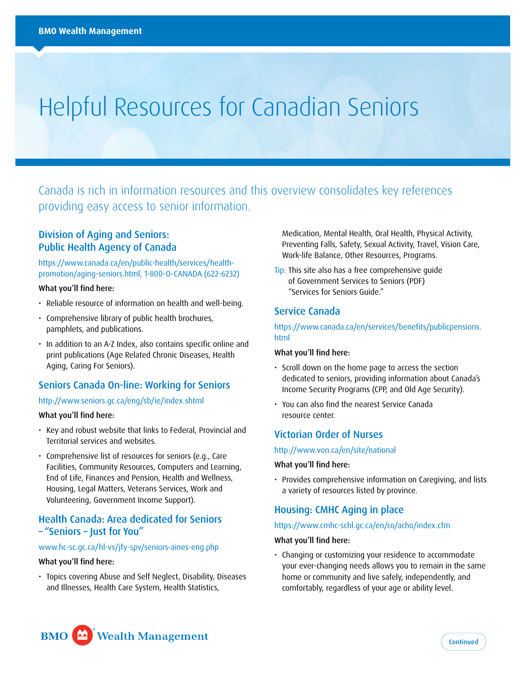# Helpful Resources for Canadian Seniors

Canada is rich in information resources and this overview consolidates key references providing easy access to senior information.

# Division of Aging and Seniors: Public Health Agency of Canada

[https://www.canada.ca/en/public-health/services/health](https://www.canada.ca/en/public-health/services/health-promotion/aging-seniors.html)[promotion/aging-seniors.html](https://www.canada.ca/en/public-health/services/health-promotion/aging-seniors.html), 1-800-O-CANADA (622-6232)

## What you'll find here:

- Reliable resource of information on health and well-being.
- Comprehensive library of public health brochures, pamphlets, and publications.
- In addition to an A-Z Index, also contains specific online and print publications (Age Related Chronic Diseases, Health Aging, Caring For Seniors).

## Seniors Canada On-line: Working for Seniors

## <http://www.seniors.gc.ca/eng/sb/ie/index.shtml>

## What you'll find here:

- Key and robust website that links to Federal, Provincial and Territorial services and websites.
- Comprehensive list of resources for seniors (e.g., Care Facilities, Community Resources, Computers and Learning, End of Life, Finances and Pension, Health and Wellness, Housing, Legal Matters, Veterans Services, Work and Volunteering, Government Income Support).

# Health Canada: Area dedicated for Seniors – "Seniors – Just for You"

## [www.hc-sc.gc.ca/hl-vs/jfy-spv/seniors-aines-eng.php](http://www.hc-sc.gc.ca/hl-vs/jfy-spv/seniors-aines-eng.php)

## What you'll find here:

• Topics covering Abuse and Self Neglect, Disability, Diseases and Illnesses, Health Care System, Health Statistics,

Medication, Mental Health, Oral Health, Physical Activity, Preventing Falls, Safety, Sexual Activity, Travel, Vision Care, Work-life Balance, Other Resources, Programs.

Tip: This site also has a free comprehensive quide of Government Services to Seniors (PDF) "Services for Seniors Guide."

# Service Canada

[https://www.canada.ca/en/services/benefits/publicpensions.](https://www.canada.ca/en/services/benefits/publicpensions.html)  [html](https://www.canada.ca/en/services/benefits/publicpensions.html) 

#### What you'll find here:

- Scroll down on the home page to access the section dedicated to seniors, providing information about Canada's Income Security Programs (CPP, and Old Age Security).
- You can also find the nearest Service Canada resource center.

## Victorian Order of Nurses

#### <http://www.von.ca/en/site/national>

#### What you'll find here:

• Provides comprehensive information on Caregiving, and lists a variety of resources listed by province.

## Housing: CMHC Aging in place

#### <https://www.cmhc-schl.gc.ca/en/co/acho/index.cfm>

#### What you'll find here:

• Changing or customizing your residence to accommodate your ever-changing needs allows you to remain in the same home or community and live safely, independently, and comfortably, regardless of your age or ability level.